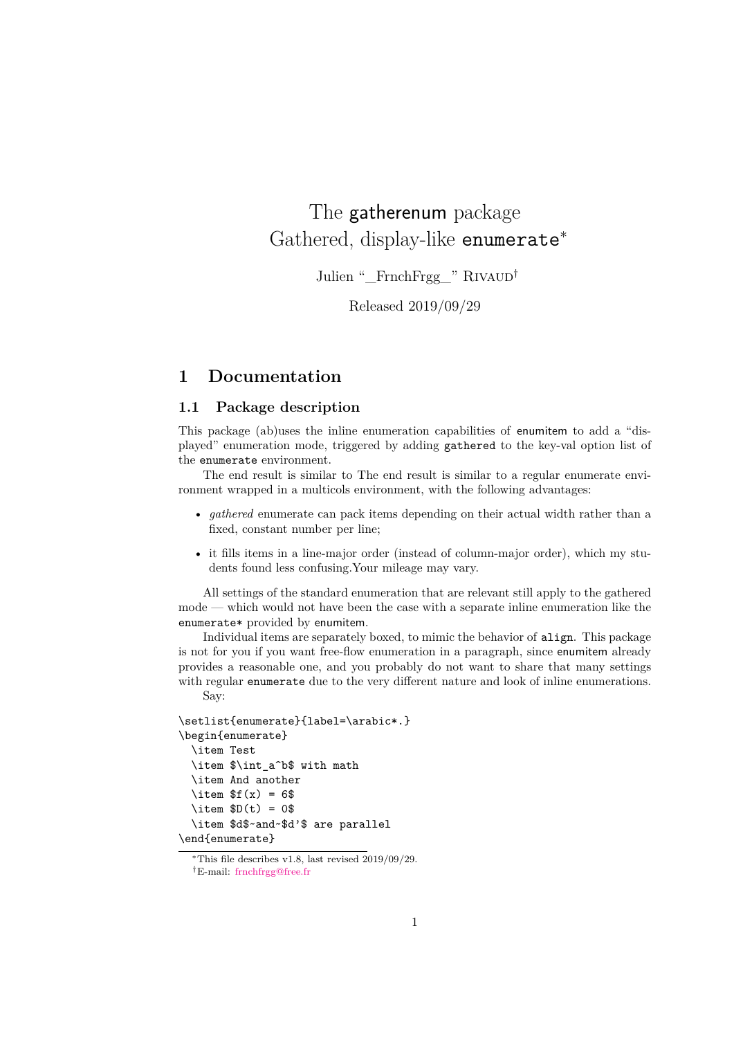# The gatherenum package Gathered, display-like enumerate<sup>∗</sup>

Julien "\_FrnchFrgg\_" RIVAUD<sup>†</sup>

Released 2019/09/29

### **1 Documentation**

#### **1.1 Package description**

This package (ab)uses the inline enumeration capabilities of enumitem to add a "displayed" enumeration mode, triggered by adding gathered to the key-val option list of the enumerate environment.

The end result is similar to The end result is similar to a regular enumerate environment wrapped in a multicols environment, with the following advantages:

- *gathered* enumerate can pack items depending on their actual width rather than a fixed, constant number per line;
- it fills items in a line-major order (instead of column-major order), which my students found less confusing.Your mileage may vary.

All settings of the standard enumeration that are relevant still apply to the gathered mode — which would not have been the case with a separate inline enumeration like the enumerate\* provided by enumitem.

Individual items are separately boxed, to mimic the behavior of align. This package is not for you if you want free-flow enumeration in a paragraph, since enumitem already provides a reasonable one, and you probably do not want to share that many settings with regular enumerate due to the very different nature and look of inline enumerations. Say:

```
\setlist{enumerate}{label=\arabic*.}
\begin{enumerate}
 \item Test
 \item $\int a^b$ with math
 \item And another
 \item f(x) = 6$
 \text{item } $D(t) = 0$\item $d$~and~$d'$ are parallel
\end{enumerate}
```
 $*$ This file describes v1.8, last revised 2019/09/29.

<sup>†</sup>E-mail: [frnchfrgg@free.fr](mailto:frnchfrgg@free.fr)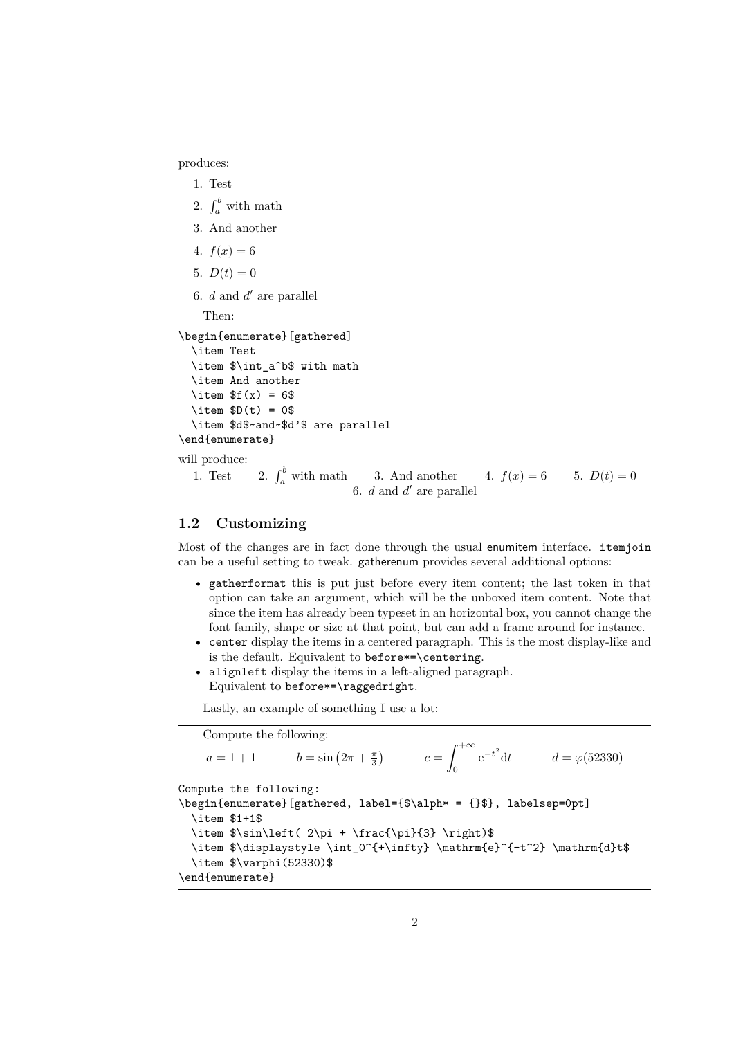produces:

```
1. Test
  2. \int_a^b with math
  3. And another
  4. f(x) = 65. D(t) = 06. d and d' are parallel
    Then:
\begin{enumerate}[gathered]
  \item Test
  \item $\int_a^b$ with math
  \item And another
  \item f(x) = 6$
  \item D(t) = 0$
  \item $d$~and~$d'$ are parallel
\end{enumerate}
will produce:
  1. Test 2. \int_{a}^{b} with math 3. And another 4. f(x) = 6 5. D(t) = 06. d and d' are parallel
```
#### **1.2 Customizing**

Most of the changes are in fact done through the usual enumitem interface. itemjoin can be a useful setting to tweak. gatherenum provides several additional options:

- gatherformat this is put just before every item content; the last token in that option can take an argument, which will be the unboxed item content. Note that since the item has already been typeset in an horizontal box, you cannot change the font family, shape or size at that point, but can add a frame around for instance.
- center display the items in a centered paragraph. This is the most display-like and is the default. Equivalent to before\*=\centering.
- alignleft display the items in a left-aligned paragraph. Equivalent to before\*=\raggedright.

Lastly, an example of something I use a lot:

|                                  | Compute the following:                             |                                                                                                                                                                                                   |  |                                                           |
|----------------------------------|----------------------------------------------------|---------------------------------------------------------------------------------------------------------------------------------------------------------------------------------------------------|--|-----------------------------------------------------------|
|                                  |                                                    | $a = 1 + 1$ $b = \sin(2\pi + \frac{\pi}{3})$                                                                                                                                                      |  | $c = \int_{0}^{+\infty} e^{-t^2} dt$ $d = \varphi(52330)$ |
| \item \$1+1\$<br>\end{enumerate} | Compute the following:<br>\item \$\varphi(52330)\$ | \begin{enumerate}[gathered, label={\$\alph* = {}\$}, labelsep=0pt]<br>\item \$\sin\left( 2\pi + \frac{\pi}{3} \right)\$<br>\item \$\displaystyle \int_0^{+\infty} \mathrm{e}^{-t^2} \mathrm{d}t\$ |  |                                                           |
|                                  |                                                    |                                                                                                                                                                                                   |  |                                                           |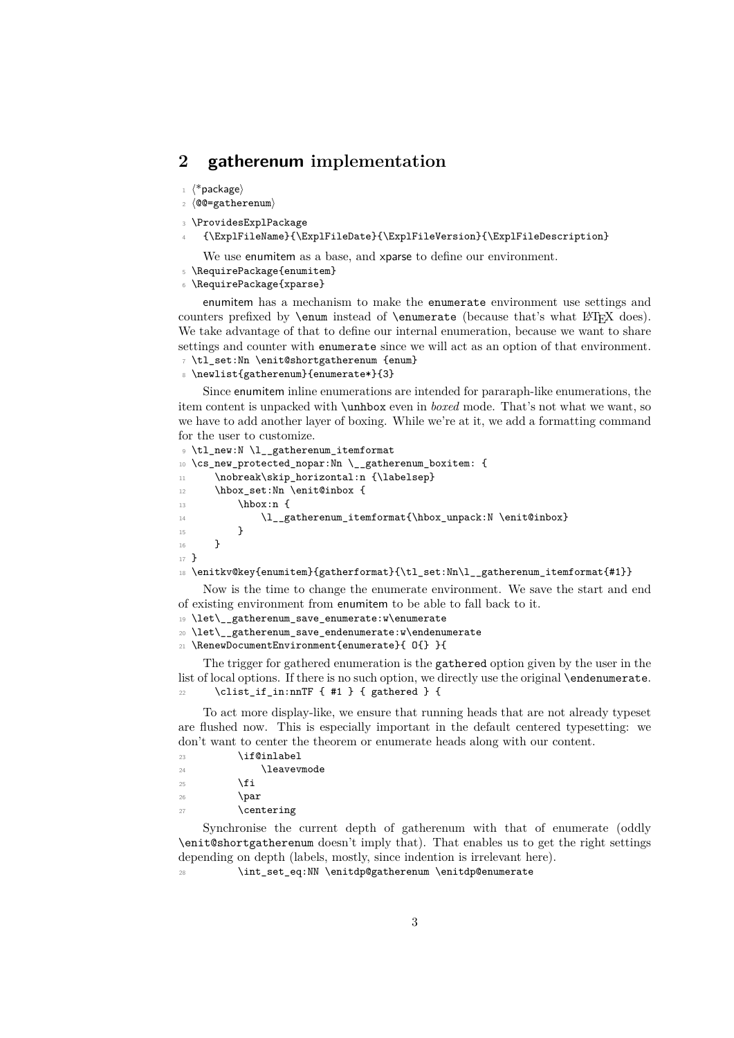## **2 gatherenum implementation**

- $\langle$ \*package $\rangle$
- $2 \langle \texttt{@@=gathered}$
- <sup>3</sup> \ProvidesExplPackage
- <sup>4</sup> {\ExplFileName}{\ExplFileDate}{\ExplFileVersion}{\ExplFileDescription}
	- We use enumitem as a base, and xparse to define our environment.
- <sup>5</sup> \RequirePackage{enumitem}
- <sup>6</sup> \RequirePackage{xparse}

enumitem has a mechanism to make the enumerate environment use settings and counters prefixed by **\enum** instead of **\enumerate** (because that's what LAT<sub>E</sub>X does). We take advantage of that to define our internal enumeration, because we want to share settings and counter with enumerate since we will act as an option of that environment. <sup>7</sup> \tl\_set:Nn \enit@shortgatherenum {enum}

```
8 \newlist{gatherenum}{enumerate*}{3}
```
Since enumitem inline enumerations are intended for pararaph-like enumerations, the item content is unpacked with \unhbox even in *boxed* mode. That's not what we want, so we have to add another layer of boxing. While we're at it, we add a formatting command for the user to customize.

```
9 \tl_new:N \l__gatherenum_itemformat
10 \cs_new_protected_nopar:Nn \__gatherenum_boxitem: {
11 \nobreak\skip_horizontal:n {\labelsep}
12 \hbox_set:Nn \enit@inbox {
13 \hbox:n {
\verb|l_gatherenum_itemformat{\hbox|unpack:N \enit@inbox}|15 }
16 }
17 }
18 \enitkv@key{enumitem}{gatherformat}{\tl_set:Nn\l__gatherenum_itemformat{#1}}
```
Now is the time to change the enumerate environment. We save the start and end of existing environment from enumitem to be able to fall back to it.

<sup>19</sup> \let\\_\_gatherenum\_save\_enumerate:w\enumerate

```
20 \let\__gatherenum_save_endenumerate:w\endenumerate
```
<sup>21</sup> \RenewDocumentEnvironment{enumerate}{ O{} }{

The trigger for gathered enumeration is the gathered option given by the user in the list of local options. If there is no such option, we directly use the original **\endenumerate.** 22 \clist\_if\_in:nnTF { #1 } { gathered } {

To act more display-like, we ensure that running heads that are not already typeset are flushed now. This is especially important in the default centered typesetting: we don't want to center the theorem or enumerate heads along with our content.

- <sup>23</sup> \if@inlabel  $\Omega$   $\Omega$   $\Omega$   $\Omega$   $\Omega$  $25 \sqrt{f}$  $26 \qquad \qquad \Delta$
- 27 \centering

Synchronise the current depth of gatherenum with that of enumerate (oddly \enit@shortgatherenum doesn't imply that). That enables us to get the right settings depending on depth (labels, mostly, since indention is irrelevant here).

\int\_set\_eq:NN \enitdp@gatherenum \enitdp@enumerate